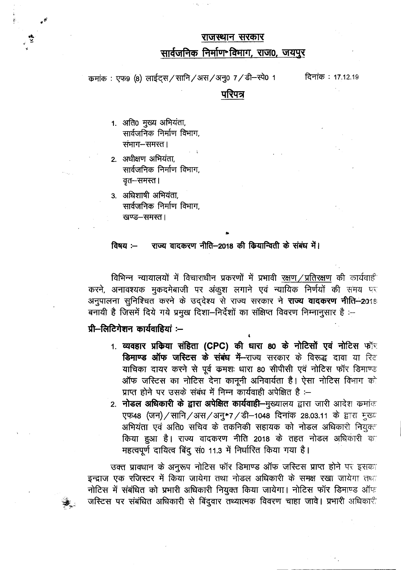#### राजस्थान सरकार

### सार्वजनिक निर्माण\*विमाग, राज0, जयपुर

कमांक: एफ9 (8) लाईट्स / सानि / अस / अनु0 7 / डी-स्पे0 1

दिनांक: 17.12.19

#### परिपत्र

- 1. अति0 मुख्य अभियंता, सार्वजनिक निर्माण विभाग, संभाग-समस्त।
- 2. अधीक्षण अभियंता. सार्वजनिक निर्माण विभाग, वृत–समस्त।
- 3. अधिशाषी अभियंता, सार्वजनिक निर्माण विभाग, खण्ड-समस्त।

#### राज्य वादकरण नीति-2018 की कियान्विती के संबंध में।  $a$ विषय $a -$

विभिन्न न्यायालयों में विचाराधीन प्रकरणों में प्रभावी रक्षण / प्रतिरक्षण की कार्यवाई करने, अनावश्यक मुकदमेबाजी पर अंकुश लगाने एवं न्यायिक निर्णयों की समय पर अनुपालना सुनिश्चित करने के उद्देश्य से राज्य सरकार ने **राज्य वादकरण नीति--2018** बनायी है जिसमें दिये गये प्रमुख दिशा-निर्देशों का संक्षिप्त विवरण निम्नानुसार है :-

## प्री-लिटिगेशन कार्यवाहियां :--

- 1. व्यवहार प्रकिया संहिता (CPC) की धारा 80 के नोटिसों एवं नोटिस फॉर डिमाण्ड ऑफ जरिटस के संबंध में-राज्य सरकार के विरूद्ध दावा या रिट याचिका दायर करने से पूर्व कमशः धारा 80 सीपीसी एवं नोटिस फॉर डिमाण्ड ऑफ जस्टिस का नोटिस देना कानूनी अनिवार्यता है। ऐसा नोटिस विभाग को प्राप्त होने पर उसके संबंध में निम्न कार्यवाही अपेक्षित है :-
- 2. नोडल अधिकारी के द्वारा अपेक्षित कार्यवाही-मुख्यालय द्वारा जारी आदेश कमांक एफ48 (जन) / सानि / अस / अनु\*7 / डी-1048 दिनांक 28.03.11 के द्वारा मुख्य अभियंता एवं अति0 सचिव के तकनिकी सहायक को नोडल अधिकारी नियुक्त किया हुआ है। राज्य वादकरण नीति 2018 के तहत नोडल अधिकारी क महत्वपूर्ण दायित्व बिंदु सं0 11.3 में निर्धारित किया गया है।

उक्त प्रावधान के अनूरूप नोटिस फॉर डिमाण्ड ऑफ जस्टिस प्राप्त होने पर इसका इन्द्राज एक रजिस्टर में किया जायेगा तथा नोडल अधिकारी के समक्ष रखा जायेगा तथा नोटिस में संबंधित को प्रभारी अधिकारी नियुक्त किया जायेगा। नोटिस फॉर डिमाण्ड ऑफ जस्टिस पर संबंधित अधिकारी से बिंदुवार तथ्यात्मक विवरण चाहा जावे। प्रभारी अधिकारी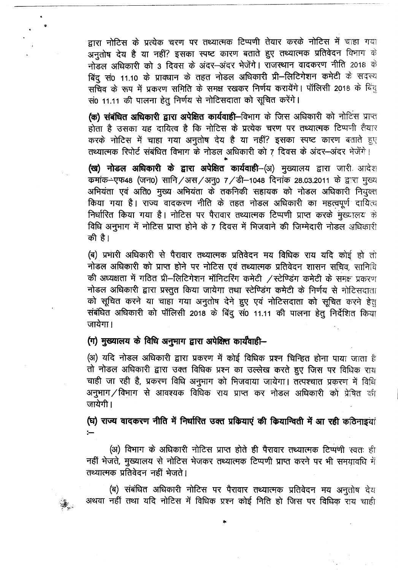द्वारा नोटिस के प्रत्येक चरण पर तथ्यात्मक टिप्पणी तेयार करके नोटिस में चाहा गया अनुतोष देय है या नहीं? इसका स्पष्ट कारण बताते हुए तथ्यात्मक प्रतिवेदन विभाग के नोडल अधिकारी को 3 दिवस के अंदर-अंदर भेजेंगे। राजस्थान वादकरण नीति 2018 के नाडल आधकारा का उनदवस के अंदर--अंदर मेजेंगे। राजस्थान पांपकरण गांत 2016<br>बिंदु सं0 11.10 के प्रावधान के तहत नोडल अधिकारी प्री--लिटिगेशन कमेटी के सद<br>सचिव के रूप में प्रकरण समिति के समक्ष रखकर निर्णय करायेंगे। पॉलिसी 2018 के 0 11.10 के प्रावधान के तहत नाडल आधकारा प्रा—ालाटगरान केनटा के सदस्य<br>के रूप में प्रकरण समिति के समक्ष रखकर निर्णय करायेंगे। पॉलिसी 2018 के बिंदु सं0 11.11 की पालना हेतू निर्णय से नोटिसदाता को सूचित करेंगे।

-- ------~---------

**(क) संबंधित अधिकारी द्वारा अपेक्षित कार्यवाही—विभाग के जिस अधिकारी को नोटिस प्राप्त** होता है उसका यह दायित्व है कि नोटिस के प्रत्येक चरण पर तथ्यात्मक टिप्पणी तैयार  $\sigma$ रके नोटिस में चाहा गया अनुतोष देय है या नहीं? इसका स्पष्ट कारण बताते हुए तथ्यात्मक रिपोर्ट संबंधित विभाग के नोडल अ<br>\*

(ख) नोडल अधिकारी के द्वारा अपेक्षित कार्यवाही-(अ) मुख्यालय द्वारा जारी आदेश **(ख) नाडल आधकारा क द्वारा अपादात कायवाहा--(**अ) मुख्यालय द्वारा जारा आदश<br>कमांक--एफ48 (जन0) सानि ⁄ अस ⁄ अनु0 7 ⁄ डी–1048 दिनांक 28.03.2011 के द्वारा मुख्य कर्माक—एफ़क्ष्ठ (जन0) सान / अस / अनु0 *। / डा*—1048 ।दनाक 28.03.2011 के द्वारा मुख्य<br>अ<mark>भियंता एवं अति0 मुख्य अभियंता के तकनिकी सहायक को नोडल अधिकारी नियुक्त</mark> आनयता एव आत0 मुख्य आनयता क तकानका सहायक का नाडल आघकारा निर्<br>किया गया है। राज्य वादकरण नीति के तहत नोडल अघिकारी का महत्वपूर्ण दा निर्धारित किया गया है। नोटिस पर पैरावार तथ्यात्मक टिप्पणी प्राप्त करके मुख्यालय के ग्न्यारत किया गया है। नाटिस पर परावार तब्यात्मक दिप्पणा प्राप्त करक मुख्यालय क<br>विधि अनुभाग में नोटिस प्राप्त होने के 7 दिवस में भिजवाने की जिम्मेदारी नोडल अधिकारी की है।

(ब) प्रभारी अधिकारी से पैरावार तथ्यात्मक प्रतिवेदन मय विधिक राय यदि कोई हो तो नोडल अधिकारी को प्राप्त होने पर नोटिस एवं तथ्यात्मक प्रतिवेदन शासन सचिव, सानिचि नाडल आधकारा का प्राप्त हान पर नााटस एवं तथ्यात्मक प्रातवदन शासन साचव, साानांव<br>की अध्यक्षता में गठित प्री–लिटिगेशन मॉनिटरिंग कमेटी ⁄स्टेण्डिंग कमेटी के समक्ष प्रकरण का अव्यवता न गाउत प्रा—ालाटगरान नाानदारंग कनटा 7 स्टाण्डंग कनटा क समक ।<br>नोडल अधिकारी द्वारा प्रस्तुत किया जायेगा तथा स्टेण्डिंग कमेटी के निर्णय से नोटि को सूचित करने या चाहा गया अनुतोष देने हुए एवं नोटिसदाता को सूचित करने हेत का सूचित करने या याहा गया अनुतांष देन हुए एवं नाटिसदाता का सूचित करने ह<br>संबंधित अधिकारी को पॉलिसी 2018 के बिंदु सं0 11.11 की पालना हेतु निर्देशित कि जायेगा।

(ग) मुख्यालय के विधि अनुमाग द्वारा अपेक्षित कार्यवाही-

(अ) यदि नोडल अधिकारी द्वारा प्रकरण में कोई विधिक प्रश्न चिन्हित होना पाया जाता है तो नोडल अधिकारी द्वारा उक्त विधिक प्रश्न का उल्लेख करते हुए जिस पर विधिक राय चाही जा रही है, प्रकरण विधि अनुभाग को भिजवाया जायेगा। तत्पश्चात प्रकरण में विधि अनुभाग $\angle$ विभाग से आवश्यक विधिक राय प्राप्त कर नोडल अधिकारी को प्रेषित की जायेगी।

 $\left(\mathrm{E}\right)$  राज्य वादकरण नीति में निर्धारित उक्त प्रकियाएं की कियान्विती में आ रही कठिनाइयां

(अ) विभाग के अधिकारी नोटिस प्राप्त होते ही पैरावार तथ्यात्मक टिप्पणी स्वतः ही नहीं भेजते, मुख्यालय से नोटिस भेजकर तथ्यात्मक टिप्पणी प्राप्त करने पर भी समयावधि में तथ्यात्मक प्रतिवेदन नहीं भेजते।

(ब) संबंधित अधिकारी नोटिस पर पैरावार तथ्यात्मक प्रतिवेदन मय अनुतोष देय ु<br><sub>दुकै</sub> अथवा नहीं तथा यदि नोटिस में विधिक प्रश्न कोई निति हो जिस पर विधिक राय चाही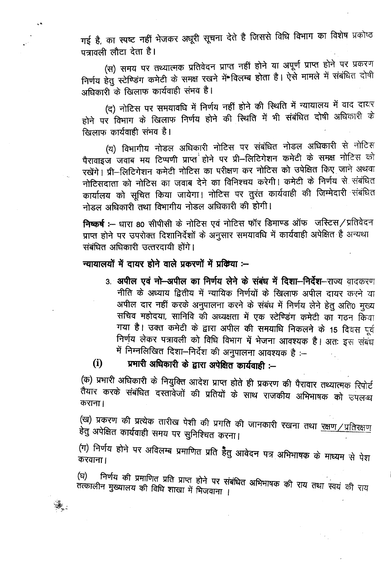गई है, का स्पष्ट नहीं भेजकर अधूरी सूचना देते है जिससे विधि विभाग का विशेष प्रकोष्ठ पत्रावली लौटा देता है।

(स) समय पर तथ्यात्मक प्रतिवेदन प्राप्त नहीं होने या अपूर्ण प्राप्त होने पर प्रकरण निर्णय हेतु स्टेण्डिंग कमेटी के समक्ष रखने में विलम्ब होता है। ऐसे मामले में संबंधित दोषी अधिकारी के खिलाफ कार्यवाही संभव है।

(द) नोटिस पर समयावधि में निर्णय नहीं होने की स्थिति में न्यायालय में वाद दायर होने पर विभाग के खिलाफ निर्णय होने की स्थिति में भी संबंधित दोषी अधिकारी के खिलाफ कार्यवाही संभव है।

(य) विभागीय नोडल अधिकारी नोटिस पर संबंधित नोडल अधिकारी से नोटिस पैरावाइज जवाब मय टिप्पणी प्राप्त<sup>े</sup> होने पर प्री-लिटिगेशन कमेटी के समक्ष नोटिस को रखेंगे। प्री-लिटिगेशन कमेटी नोटिस का परीक्षण कर नोटिस को उपेक्षित किए जाने अथवा नोटिसदाता को नोटिस का जवाब देने का विनिश्चय करेगी। कमेटी के निर्णय से संबंधित कार्यालय को सूचित किया जायेगा। नोटिस पर तुरंत कार्यवाही की जिम्मेदारी संबंधित नोडल अधिकारी तथा विभागीय नोडल अधिकारी की होगी।

निष्कर्ष :-- धारा 80 सीपीसी के नोटिस एवं नोटिस फॉर डिमाण्ड ऑफ जस्टिस/प्रतिवेदन प्राप्त होने पर उपरोक्त दिशानिर्देशों के अनुसार समयावधि में कार्यवाही अपेक्षित है अन्यथा संबंधित अधिकारी उत्तरदायी होंगे।

### न्यायालयों में दायर होने वाले प्रकरणों में प्रक्रिया :--

 $\epsilon$  .

 $\hat{\mathcal{R}}_z$ 

3. अपील एवं नो-अपील का निर्णय लेने के संबंध में दिशा-निर्देश-राज्य वादकरण नीति के अध्याय द्वितीय में न्यायिक निर्णयों के खिलाफ अपील दायर करने या अपील दार नहीं करके अनुपालना करने के संबंध में निर्णय लेने हेतु अति0 मुख्य सचिव महोदया, सानिवि की अध्यक्षता में एक स्टेण्डिंग कमेटी का गठन किया गया है। उक्त कमेटी के द्वारा अपील की समयाधि निकलने के 15 दिवस पूर्व निर्णय लेकर पत्रावली को विधि विभाग में भेजना आवश्यक है। अतः इस संबंध में निम्नलिखित दिशा-निर्देश की अनुपालना आवश्यक है :--

#### प्रभारी अधिकारी के द्वारा अपेक्षित कार्यवाही :- $(i)$

(क) प्रभारी अधिकारी के नियुक्ति आदेश प्राप्त होते ही प्रकरण की पैरावार तथ्यात्मक रिपोर्ट तैयार करके संबंधित दस्तावेजों की प्रतियों के साथ राजकीय अभिभाषक को उपलब्ध कराना।

(ख) प्रकरण की प्रत्येक तारीख पेशी की प्रगति की जानकारी रखना तथा <u>रक्षण/प्रतिरक्षण</u> हेतु अपेक्षित कार्यवाही समय पर सुनिश्चित करना।

(ग) निर्णय होने पर अविलम्ब प्रमाणित प्रति हैतु आवेदन पत्र अभिभाषक के माध्यम से पेश

निर्णय की प्रमाणित प्रति प्राप्त होने पर संबंधित अभिभाषक की राय तथा स्वयं की राय (ਬ) तत्कालीन मुख्यालय की विधि शाखा में भिजवाना ।